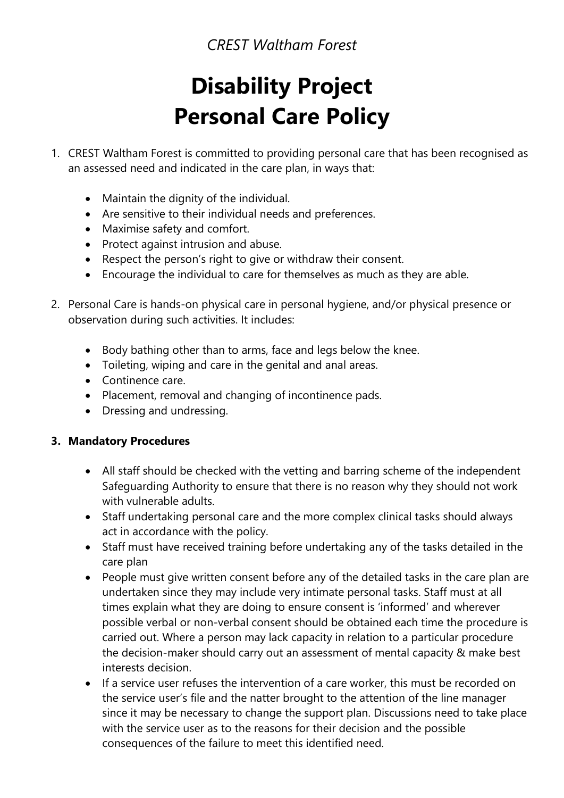*CREST Waltham Forest* 

# **Disability Project Personal Care Policy**

- 1. CREST Waltham Forest is committed to providing personal care that has been recognised as an assessed need and indicated in the care plan, in ways that:
	- Maintain the dignity of the individual.
	- Are sensitive to their individual needs and preferences.
	- Maximise safety and comfort.
	- Protect against intrusion and abuse.
	- Respect the person's right to give or withdraw their consent.
	- Encourage the individual to care for themselves as much as they are able.
- 2. Personal Care is hands-on physical care in personal hygiene, and/or physical presence or observation during such activities. It includes:
	- Body bathing other than to arms, face and legs below the knee.
	- Toileting, wiping and care in the genital and anal areas.
	- Continence care
	- Placement, removal and changing of incontinence pads.
	- Dressing and undressing.

## **3. Mandatory Procedures**

- All staff should be checked with the vetting and barring scheme of the independent Safeguarding Authority to ensure that there is no reason why they should not work with vulnerable adults.
- Staff undertaking personal care and the more complex clinical tasks should always act in accordance with the policy.
- Staff must have received training before undertaking any of the tasks detailed in the care plan
- People must give written consent before any of the detailed tasks in the care plan are undertaken since they may include very intimate personal tasks. Staff must at all times explain what they are doing to ensure consent is 'informed' and wherever possible verbal or non-verbal consent should be obtained each time the procedure is carried out. Where a person may lack capacity in relation to a particular procedure the decision-maker should carry out an assessment of mental capacity & make best interests decision.
- If a service user refuses the intervention of a care worker, this must be recorded on the service user's file and the natter brought to the attention of the line manager since it may be necessary to change the support plan. Discussions need to take place with the service user as to the reasons for their decision and the possible consequences of the failure to meet this identified need.